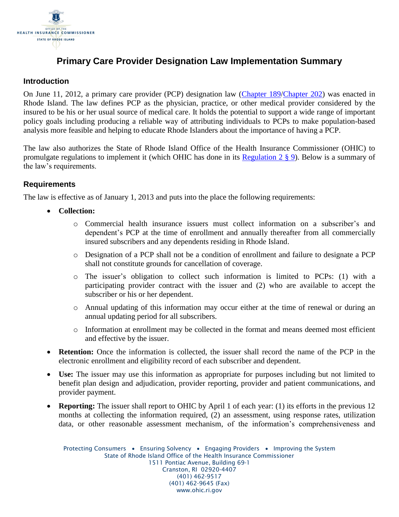

# **Primary Care Provider Designation Law Implementation Summary**

### **Introduction**

On June 11, 2012, a primary care provider (PCP) designation law [\(Chapter 189](http://webserver.rilin.state.ri.us/PublicLaws/law12/law12189.htm)[/Chapter 202\)](http://webserver.rilin.state.ri.us/PublicLaws/law12/law12202.htm) was enacted in Rhode Island. The law defines PCP as the physician, practice, or other medical provider considered by the insured to be his or her usual source of medical care. It holds the potential to support a wide range of important policy goals including producing a reliable way of attributing individuals to PCPs to make population-based analysis more feasible and helping to educate Rhode Islanders about the importance of having a PCP.

The law also authorizes the State of Rhode Island Office of the Health Insurance Commissioner (OHIC) to promulgate regulations to implement it (which OHIC has done in its [Regulation 2](http://www.ohic.ri.gov/documents/Insurers/Regulations/Regulation%202%20Final%2092812/2_Adopted%20Regulation%202%20Effective%209282012.pdf) § 9). Below is a summary of the law's requirements.

### **Requirements**

The law is effective as of January 1, 2013 and puts into the place the following requirements:

- **Collection:** 
	- o Commercial health insurance issuers must collect information on a subscriber's and dependent's PCP at the time of enrollment and annually thereafter from all commercially insured subscribers and any dependents residing in Rhode Island.
	- o Designation of a PCP shall not be a condition of enrollment and failure to designate a PCP shall not constitute grounds for cancellation of coverage.
	- o The issuer's obligation to collect such information is limited to PCPs: (1) with a participating provider contract with the issuer and (2) who are available to accept the subscriber or his or her dependent.
	- o Annual updating of this information may occur either at the time of renewal or during an annual updating period for all subscribers.
	- o Information at enrollment may be collected in the format and means deemed most efficient and effective by the issuer.
- **Retention:** Once the information is collected, the issuer shall record the name of the PCP in the electronic enrollment and eligibility record of each subscriber and dependent.
- **Use:** The issuer may use this information as appropriate for purposes including but not limited to benefit plan design and adjudication, provider reporting, provider and patient communications, and provider payment.
- **Reporting:** The issuer shall report to OHIC by April 1 of each year: (1) its efforts in the previous 12 months at collecting the information required, (2) an assessment, using response rates, utilization data, or other reasonable assessment mechanism, of the information's comprehensiveness and

Protecting Consumers • Ensuring Solvency • Engaging Providers • Improving the System State of Rhode Island Office of the Health Insurance Commissioner 1511 Pontiac Avenue, Building 69-1 Cranston, RI 02920-4407 (401) 462-9517 (401) 462-9645 (Fax) www.ohic.ri.gov